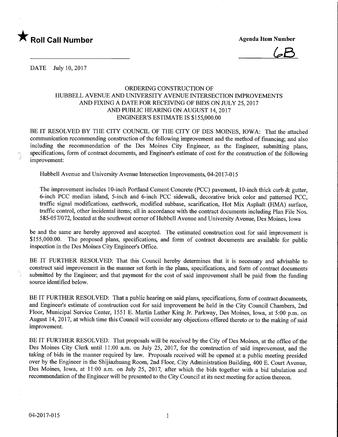

 $6B$ 

DATE July 10, 2017

## ORDERING CONSTRUCTION OF HUBBELL AVENUE AND UNIVERSITY AVENUE INTERSECTION IMPROVEMENTS AND FIXING A DATE FOR RECEIVING OF BIDS ON JULY 25, 2017 AND PUBLIC HEARING ON AUGUST 14,2017 ENGINEER'S ESTIMATE IS \$155,000.00

BE IT RESOLVED BY THE CITY COUNCIL OF THE CITY OF DES MOINES, IOWA: That the attached communication recommending construction of the following improvement and the method of financing; and also including the recommendation of the Des Moines City Engineer, as the Engineer, submitting plans, specifications, form of contract documents, and Engineer's estimate of cost for the construction of the following improvement:

Hubbell Avenue and University Avenue Intersection Improvements, 04-2017-015

The improvement includes 10-inch Portland Cement Concrete (PCC) pavement, 10-inch thick curb & gutter, 6-inch PCC median island, 5-inch and 6-inch PCC sidewalk, decorative brick color and patterned PCC, traffic signal modifications, earthwork, modified subbase, scarification, Hot Mix Asphalt (HMA) surface, traffic control, other incidental items; all in accordance with the contract documents including Plan File Nos. 585-057/072, located at the southwest corner of Hubbell Avenue and University Avenue, Des Moines, Iowa

be and the same are hereby approved and accepted. The estimated construction cost for said improvement is \$155,000.00. The proposed plans, specifications, and form of contract documents are available for public inspection in the Des Moines City Engineer's Office.

BE IT FURTHER RESOLVED: That this Council hereby determines that it is necessary and advisable to construct said improvement in the manner set forth in the plans, specifications, and form of contract documents submitted by the Engineer; and that payment for the cost of said improvement shall be paid from the funding source identified below.

BE IT FURTHER RESOLVED: That a public hearing on said plans, specifications, form of contract documents, and Engineer's estimate of construction cost for said unprovement be held in the City Council Chambers, 2nd Floor, Municipal Service Center, 1551 E. Martin Luther King Jr. Parkway, Des Moines, Iowa, at 5:00 p.m. on August 14, 2017, at which time this Council will consider any objections offered thereto or to the making of said improvement.

BE IT FURTHER RESOLVED: That proposals will be received by the City of Des Moines, at the office of the Des Moines City Clerk until 11:00 a.m. on July 25, 2017, for the construction of said improvement, and the taking of bids in the manner required by law. Proposals received will be opened at a public meeting presided over by the Engineer in the Shijiazhuang Room, 2nd Floor, City Administration Building, 400 E. Court Avenue, Des Moines, Iowa, at 11:00 a.m. on July 25, 2017, after which the bids together with a bid tabulation and recommendation of the Engineer will be presented to the City Council at its next meeting for action thereon.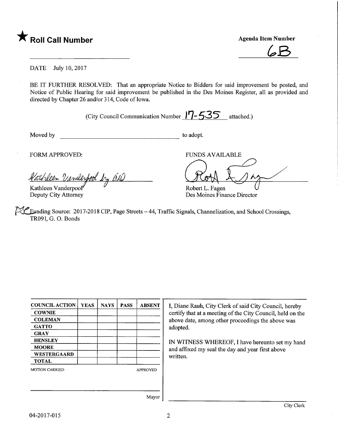

 $6B$ 

#### DATE July 10, 2017

BE IT FURTHER RESOLVED: That an appropriate Notice to Bidders for said improvement be posted, and Notice of Public Hearing for said improvement be published in the Des Moines Register, all as provided and directed by Chapter 26 and/or 314, Code of Iowa.

(City Council Communication Number  $17 - 535$  attached.)

Moved by to adopt.

Robert L. Fagen

Des Moines Finance Director

FORM APPROVED: THE RESERVED BY A PERSON ASSESSED.

<u>e</u><br>2 athleen Vanilespool by all  $^{\ast}\mathcal{J}$ 

Kathleen Vanderpool" Deputy City Attorney

**Eunding Source: 2017-2018 CIP, Page Streets - 44, Traffic Signals, Channelization, and School Crossings,** TR091, G. 0. Bonds

| <b>COUNCIL ACTION</b> | <b>YEAS</b> | <b>NAYS</b> | <b>PASS</b>     | <b>ABSENT</b> |  |
|-----------------------|-------------|-------------|-----------------|---------------|--|
| <b>COWNIE</b>         |             |             |                 |               |  |
| <b>COLEMAN</b>        |             |             |                 |               |  |
| <b>GATTO</b>          |             |             |                 |               |  |
| <b>GRAY</b>           |             |             |                 |               |  |
| <b>HENSLEY</b>        |             |             |                 |               |  |
| <b>MOORE</b>          |             |             |                 |               |  |
| <b>WESTERGAARD</b>    |             |             |                 |               |  |
| <b>TOTAL</b>          |             |             |                 |               |  |
| <b>MOTION CARRIED</b> |             |             | <b>APPROVED</b> |               |  |
|                       |             |             |                 |               |  |
|                       |             |             |                 |               |  |
|                       |             |             |                 |               |  |

I, Diane Rauh, City Clerk of said City Council, hereby certify that at a meeting of the City Council, held on the above date, among other proceedings the above was adopted.

 $\overbrace{\phantom{aa}}^{\text{BLE}}$ 

IN WITNESS WHEREOF, I have hereunto set my hand and affixed my seal the day and year first above written.

Mayor